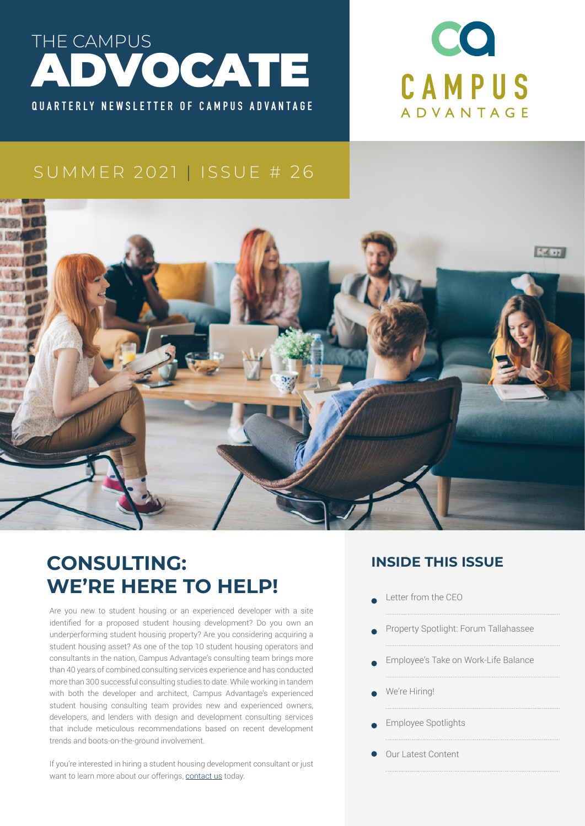



#### SUMMER 2021 | ISSUE # 26



# **CONSULTING: WE'RE HERE TO HELP!**

Are you new to student housing or an experienced developer with a site identified for a proposed student housing development? Do you own an underperforming student housing property? Are you considering acquiring a student housing asset? As one of the top 10 student housing operators and consultants in the nation, Campus Advantage's consulting team brings more than 40 years of combined consulting services experience and has conducted more than 300 successful consulting studies to date. While working in tandem with both the developer and architect, Campus Advantage's experienced student housing consulting team provides new and experienced owners, developers, and lenders with design and development consulting services that include meticulous recommendations based on recent development trends and boots-on-the-ground involvement.

If you're interested in hiring a student housing development consultant or just want to learn more about our offerings, [contact us](https://campusadv.com/contact-us/) today.

#### **INSIDE THIS ISSUE**

- Letter from the CEO
- Property Spotlight: Forum Tallahassee
- Employee's Take on Work-Life Balance
- We're Hiring!
- Employee Spotlights
- Our Latest Content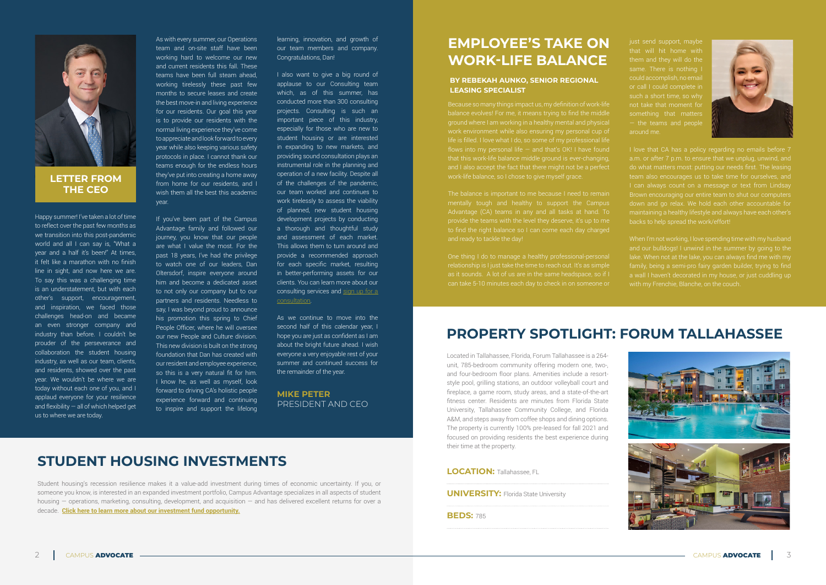Happy summer! I've taken a lot of time to reflect over the past few months as we transition into this post-pandemic world and all I can say is, "What a year and a half it's been!" At times, it felt like a marathon with no finish line in sight, and now here we are. To say this was a challenging time is an understatement, but with each other's support, encouragement, and inspiration, we faced those challenges head-on and became an even stronger company and industry than before. I couldn't be prouder of the perseverance and collaboration the student housing industry, as well as our team, clients, and residents, showed over the past year. We wouldn't be where we are today without each one of you, and I applaud everyone for your resilience and flexibility  $-$  all of which helped get us to where we are today.

As with every summer, our Operations team and on-site staff have been working hard to welcome our new and current residents this fall. These teams have been full steam ahead, working tirelessly these past few months to secure leases and create the best move-in and living experience for our residents. Our goal this year is to provide our residents with the normal living experience they've come to appreciate and look forward to every year while also keeping various safety protocols in place. I cannot thank our teams enough for the endless hours they've put into creating a home away from home for our residents, and I wish them all the best this academic year.

I also want to give a big round of applause to our Consulting team which, as of this summer, has conducted more than 300 consulting projects. Consulting is such an important piece of this industry, especially for those who are new to student housing or are interested in expanding to new markets, and providing sound consultation plays an instrumental role in the planning and operation of a new facility. Despite all of the challenges of the pandemic, our team worked and continues to work tirelessly to assess the viability of planned, new student housing development projects by conducting a thorough and thoughtful study and assessment of each market. This allows them to turn around and provide a recommended approach for each specific market, resulting in better-performing assets for our clients. You can learn more about our consulting services and sign up for a [consultation](https://campusadv.com/consulting/).

If you've been part of the Campus Advantage family and followed our journey, you know that our people are what I value the most. For the past 18 years, I've had the privilege to watch one of our leaders, Dan Oltersdorf, inspire everyone around him and become a dedicated asset to not only our company but to our partners and residents. Needless to say, I was beyond proud to announce his promotion this spring to Chief People Officer, where he will oversee our new People and Culture division. This new division is built on the strong foundation that Dan has created with our resident and employee experience, so this is a very natural fit for him. I know he, as well as myself, look forward to driving CA's holistic people experience forward and continuing to inspire and support the lifelong learning, innovation, and growth of our team members and company. Congratulations, Dan!

As we continue to move into the second half of this calendar year, I hope you are just as confident as I am about the bright future ahead. I wish everyone a very enjoyable rest of your summer and continued success for the remainder of the year.



#### **LETTER FROM THE CEO**

**MIKE PETER** PRESIDENT AND CEO

## **EMPLOYEE'S TAKE ON WORK-LIFE BALANCE**

Because so many things impact us, my definition of work-life balance evolves! For me, it means trying to find the middle flows into my personal life  $-$  and that's OK! I have found that this work-life balance middle ground is ever-changing, and I also accept the fact that there might not be a perfect

mentally tough and healthy to support the Campus to find the right balance so I can come each day charged

One thing I do to manage a healthy professional-personal relationship is I just take the time to reach out. It's as simple as it sounds. A lot of us are in the same headspace, so if I

just send support, maybe or call I could complete in such a short time, so why not take that moment for — the teams and people around me.



I love that CA has a policy regarding no emails before 7 a.m. or after 7 p.m. to ensure that we unplug, unwind, and do what matters most: putting our needs first. The leasing team also encourages us to take time for ourselves, and Brown encouraging our entire team to shut our computers down and go relax. We hold each other accountable for maintaining a healthy lifestyle and always have each other's

and our bulldogs! I unwind in the summer by going to the



#### **BY REBEKAH AUNKO, SENIOR REGIONAL LEASING SPECIALIST**

# **PROPERTY SPOTLIGHT: FORUM TALLAHASSEE**

Located in Tallahassee, Florida, Forum Tallahassee is a 264 unit, 785-bedroom community offering modern one, two-, and four-bedroom floor plans. Amenities include a resortstyle pool, grilling stations, an outdoor volleyball court and fireplace, a game room, study areas, and a state-of-the-art fitness center. Residents are minutes from Florida State University, Tallahassee Community College, and Florida A&M, and steps away from coffee shops and dining options. The property is currently 100% pre-leased for fall 2021 and focused on providing residents the best experience during their time at the property.

| <b>LOCATION: Tallahassee, FL</b>            |
|---------------------------------------------|
| <b>UNIVERSITY: Florida State University</b> |
| <b>BEDS: 785</b>                            |

Student housing's recession resilience makes it a value-add investment during times of economic uncertainty. If you, or someone you know, is interested in an expanded investment portfolio, Campus Advantage specializes in all aspects of student housing — operations, marketing, consulting, development, and acquisition — and has delivered excellent returns for over a decade. **[Click here to learn more about our investment fund opportunity.](http://campusadv.com/investnow)**

### **STUDENT HOUSING INVESTMENTS**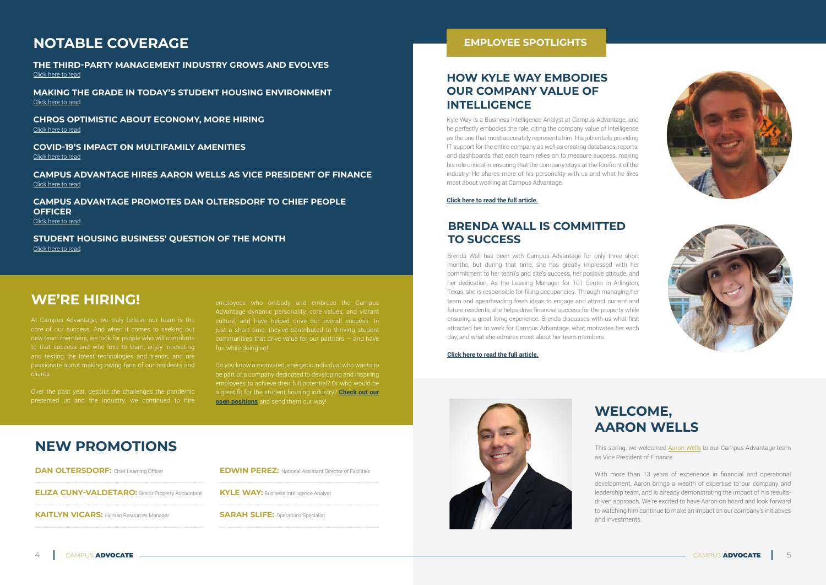#### **NEW PROMOTIONS**

| <b>DAN OLTERSDORF:</b> Chief Learning Officer           |
|---------------------------------------------------------|
| <b>ELIZA CUNY-VALDETARO:</b> Senior Property Accountant |
| <b>KAITLYN VICARS: Human Resources Manager</b>          |

### **NOTABLE COVERAGE**

**THE THIRD-PARTY MANAGEMENT INDUSTRY GROWS AND EVOLVES** [Click here to read](https://www.studenthousingbusiness.com/the-third-party-management-industry-grows-and-evolves/?utm_source=rss&utm_medium=rss&utm_campaign=the-third-party-management-industry-grows-and-evolves)

**MAKING THE GRADE IN TODAY'S STUDENT HOUSING ENVIRONMENT** [Click here to read](https://www.multihousingnews.com/post/making-the-grade-in-todays-student-housing-environment/)

**CHROS OPTIMISTIC ABOUT ECONOMY, MORE HIRING** [Click here to read](https://www.shrm.org/executive/resources/articles/Pages/chro-index-1-article-bergeron.aspx)

**COVID-19'S IMPACT ON MULTIFAMILY AMENITIES** [Click here to read](https://www.bdcnetwork.com/covid-19’s-impact-multifamily-amenities)

**CAMPUS ADVANTAGE HIRES AARON WELLS AS VICE PRESIDENT OF FINANCE** [Click here to read](https://www.studenthousingbusiness.com/campus-advantage-hires-aaron-wells-as-vice-president-of-finance/)

**CAMPUS ADVANTAGE PROMOTES DAN OLTERSDORF TO CHIEF PEOPLE OFFICER**

[Click here to read](https://www.studenthousingbusiness.com/campus-advantage-promotes-dan-oltersdorf-to-chief-people-officer/)

**STUDENT HOUSING BUSINESS' QUESTION OF THE MONTH** [Click here to read](https://editions.mydigitalpublication.com/publication/?i=712506&ver=html5&p=34)

#### WE'RE HIRING! **WE'RE HIRING!**

Kyle Way is a Business Intelligence Analyst at Campus Advantage, and he perfectly embodies the role, citing the company value of Intelligence as the one that most accurately represents him. His job entails providing IT support for the entire company as well as creating databases, reports, and dashboards that each team relies on to measure success, making his role critical in ensuring that the company stays at the forefront of the industry. He shares more of his personality with us and what he likes most about working at Campus Advantage.

**[Click here to read the full article.](https://campusadv.com/how-kyle-way-embodies-our-company-value-of-intelligence/)**



#### **HOW KYLE WAY EMBODIES OUR COMPANY VALUE OF INTELLIGENCE**

Brenda Wall has been with Campus Advantage for only three short months, but during that time, she has greatly impressed with her commitment to her team's and site's success, her positive attitude, and her dedication. As the Leasing Manager for 101 Center in Arlington, Texas, she is responsible for filling occupancies. Through managing her team and spearheading fresh ideas to engage and attract current and future residents, she helps drive financial success for the property while ensuring a great living experience. Brenda discusses with us what first attracted her to work for Campus Advantage, what motivates her each day, and what she admires most about her team members.

**[Click here to read the full article.](https://campusadv.com/brenda-wall-is-committed-to-success/)**

#### **BRENDA WALL IS COMMITTED TO SUCCESS**

# **WELCOME, AARON WELLS**

This spring, we welcomed [Aaron Wells](https://campusadv.com/aaron-wells/) to our Campus Advantage team as Vice President of Finance.

With more than 13 years of experience in financial and operational development, Aaron brings a wealth of expertise to our company and leadership team, and is already demonstrating the impact of his resultsdriven approach. We're excited to have Aaron on board and look forward to watching him continue to make an impact on our company's initiatives

and investments.









core of our success. And when it comes to seeking out new team members, we look for people who will contribute to that success and who love to learn, enjoy innovating clients.

Over the past year, despite the challenges the pandemic

communities that drive value for our partners — and have fun while doing so!

a great fit for the student housing industry? **[Check out our](https://campusadv.com/careers/available-positions) [open positions](https://campusadv.com/careers/available-positions)** and send them our way!